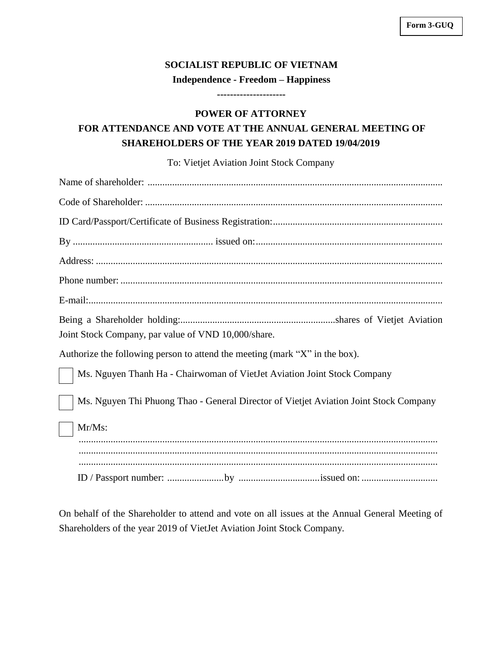## **SOCIALIST REPUBLIC OF VIETNAM Independence - Freedom – Happiness**

**--------------------- POWER OF ATTORNEY**

## **FOR ATTENDANCE AND VOTE AT THE ANNUAL GENERAL MEETING OF SHAREHOLDERS OF THE YEAR 2019 DATED 19/04/2019**

To: Vietjet Aviation Joint Stock Company

| Joint Stock Company, par value of VND 10,000/share.                                   |
|---------------------------------------------------------------------------------------|
| Authorize the following person to attend the meeting (mark "X" in the box).           |
| Ms. Nguyen Thanh Ha - Chairwoman of VietJet Aviation Joint Stock Company              |
| Ms. Nguyen Thi Phuong Thao - General Director of Vietjet Aviation Joint Stock Company |
| Mr/Ms:                                                                                |
|                                                                                       |
|                                                                                       |

On behalf of the Shareholder to attend and vote on all issues at the Annual General Meeting of Shareholders of the year 2019 of VietJet Aviation Joint Stock Company.